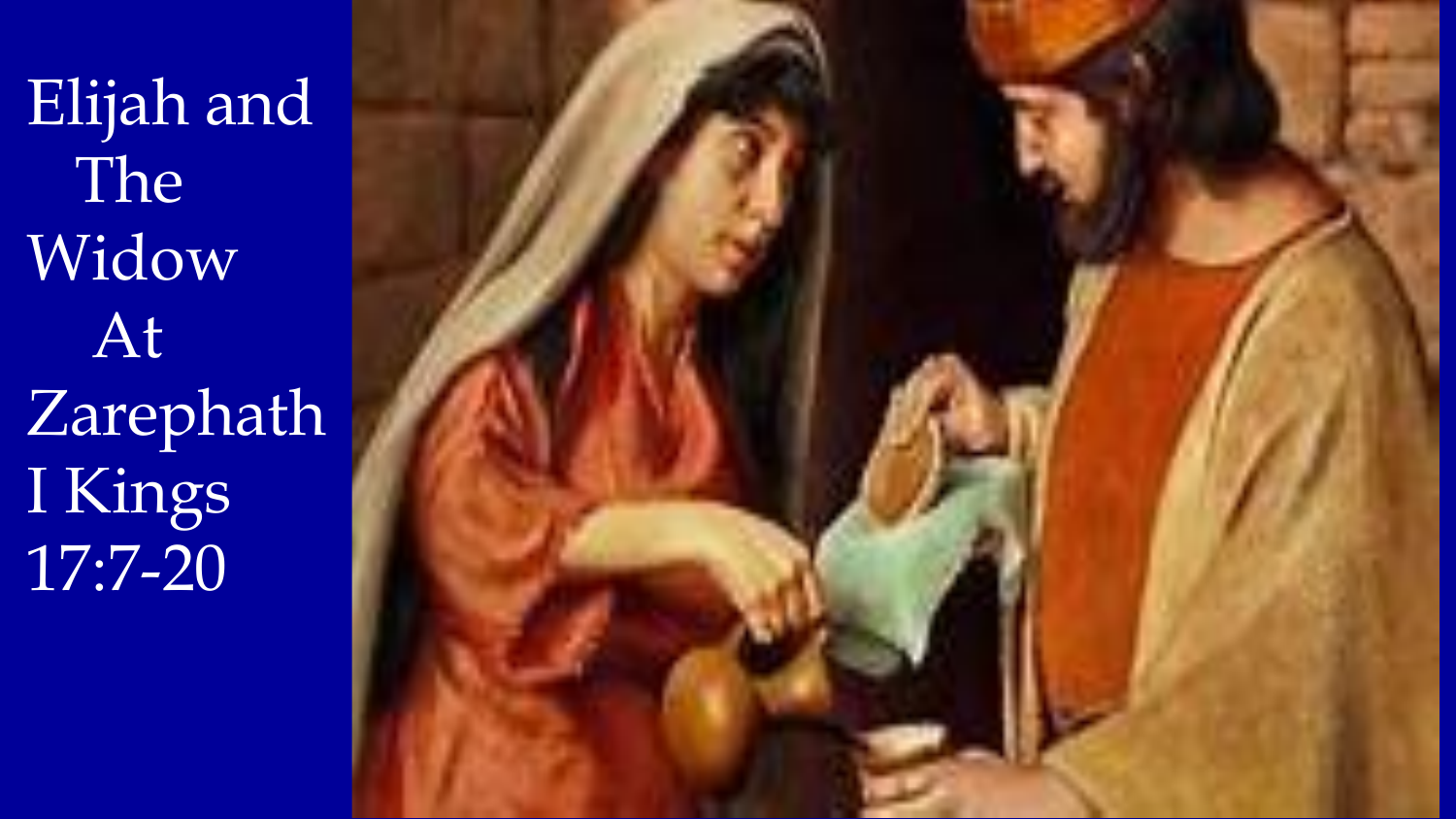Elijah and The Widow At Zarephath I Kings 17:7-20

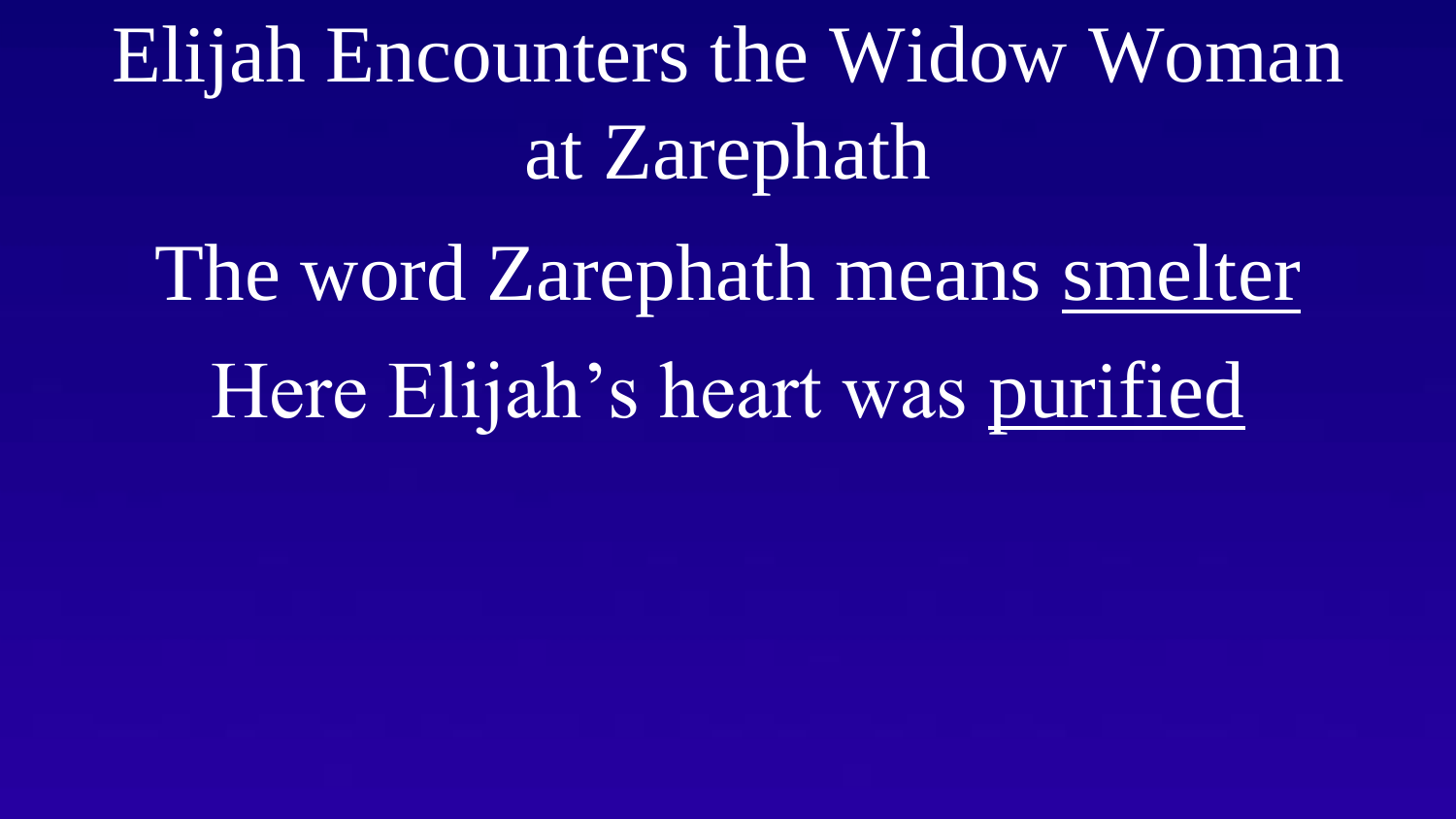Elijah Encounters the Widow Woman at Zarephath

The word Zarephath means smelter Here Elijah's heart was purified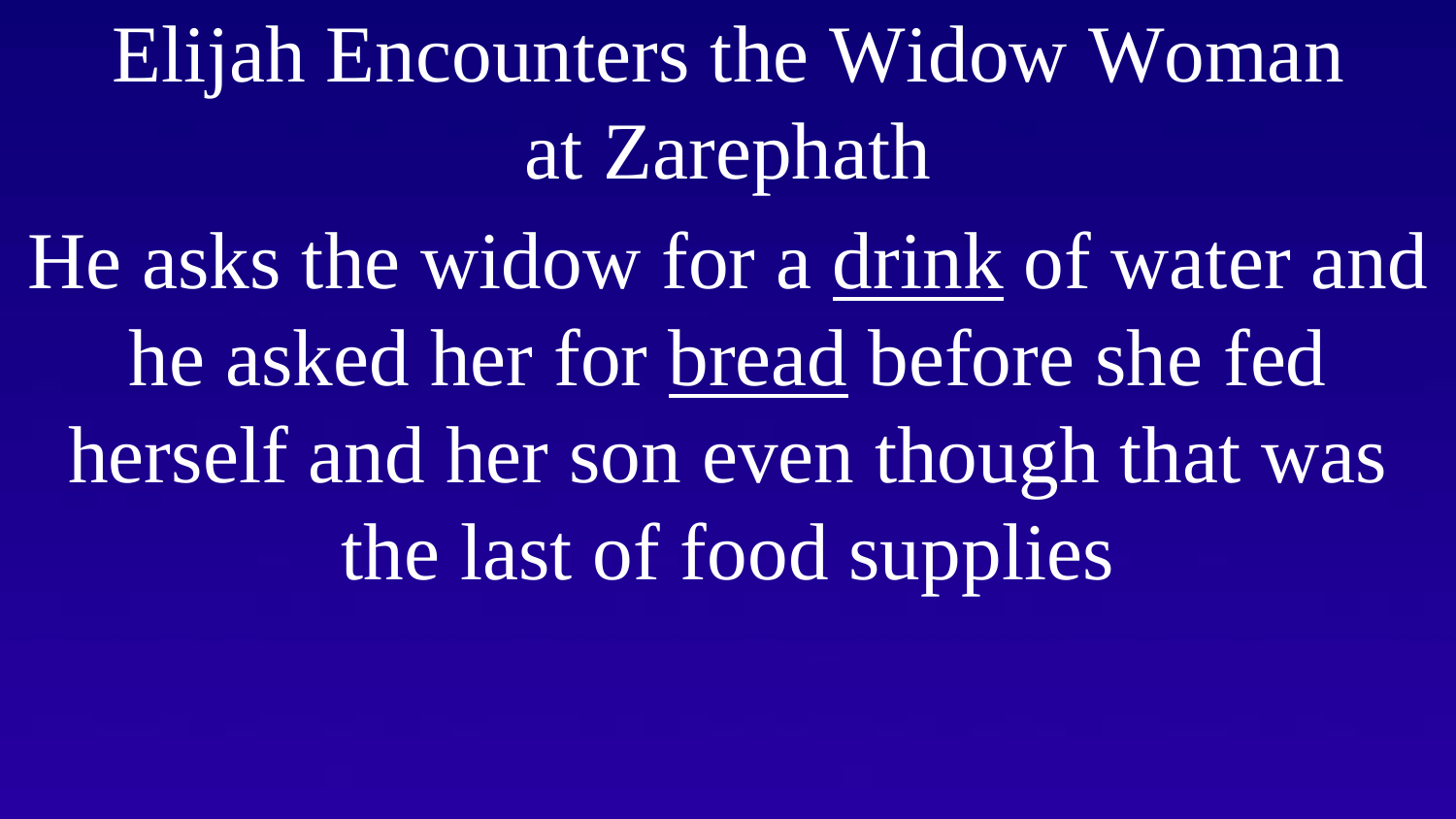Elijah Encounters the Widow Woman at Zarephath

He asks the widow for a drink of water and he asked her for bread before she fed herself and her son even though that was the last of food supplies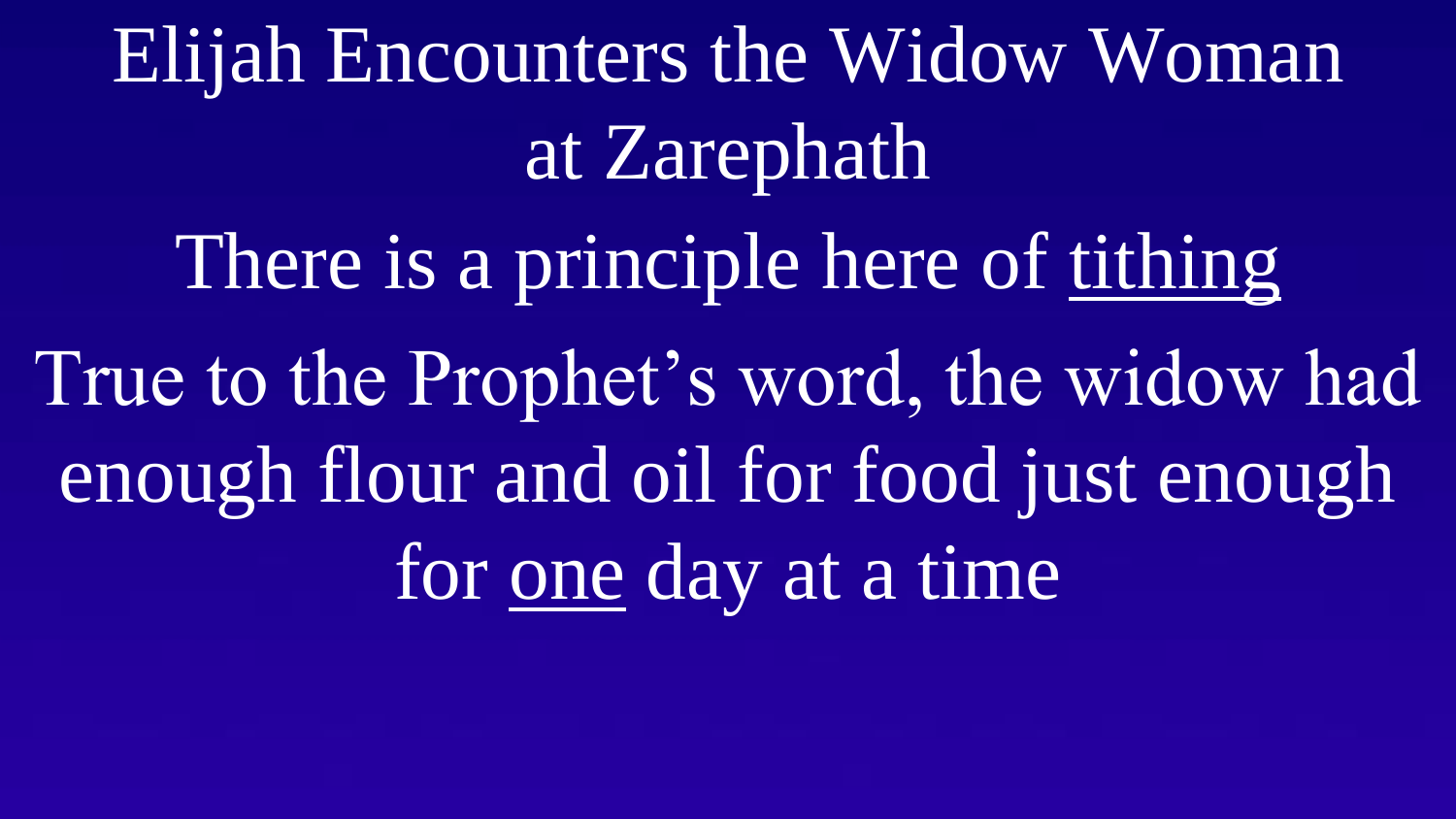Elijah Encounters the Widow Woman at Zarephath

There is a principle here of tithing True to the Prophet's word, the widow had enough flour and oil for food just enough for one day at a time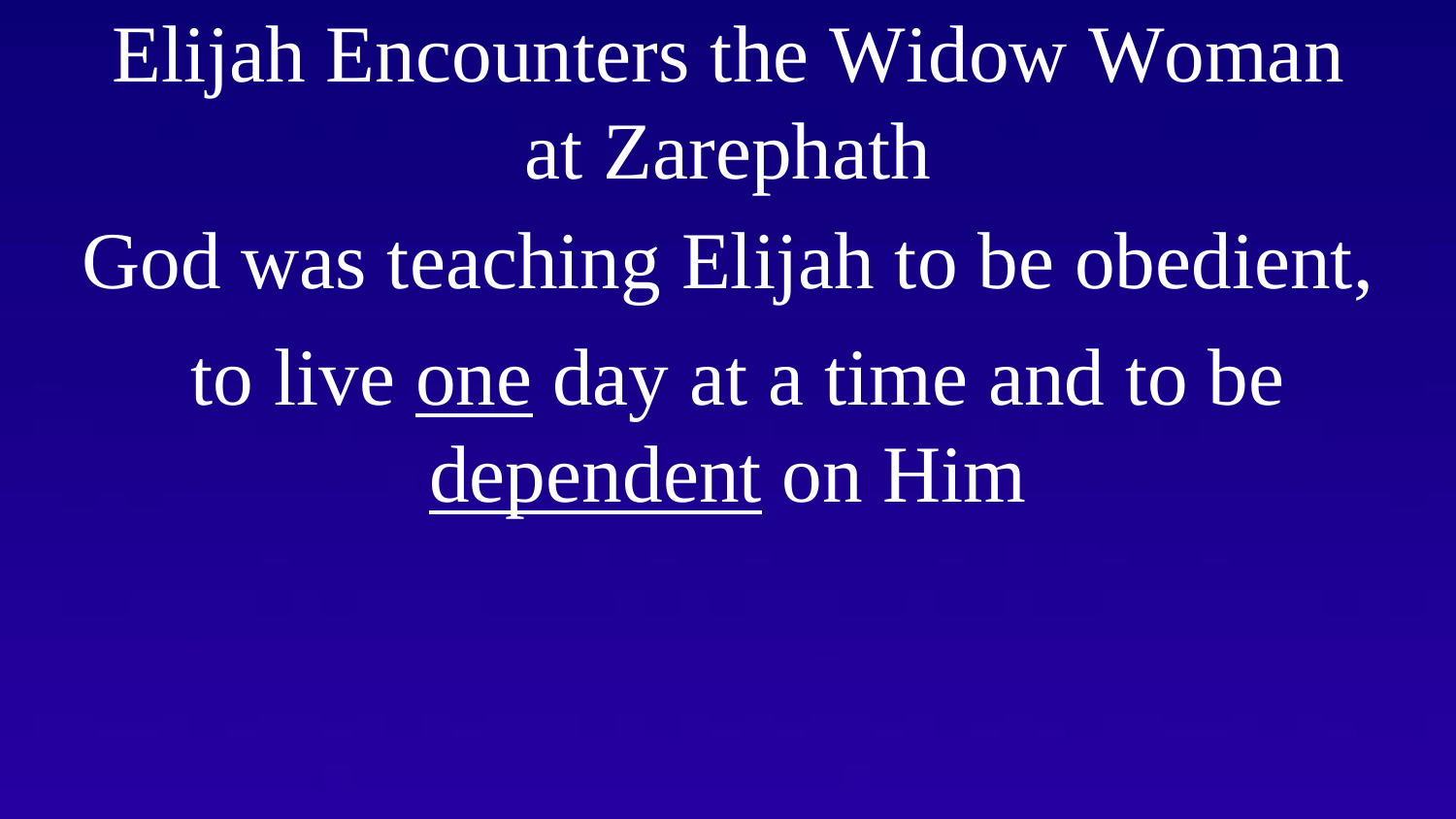Elijah Encounters the Widow Woman at Zarephath God was teaching Elijah to be obedient, to live one day at a time and to be dependent on Him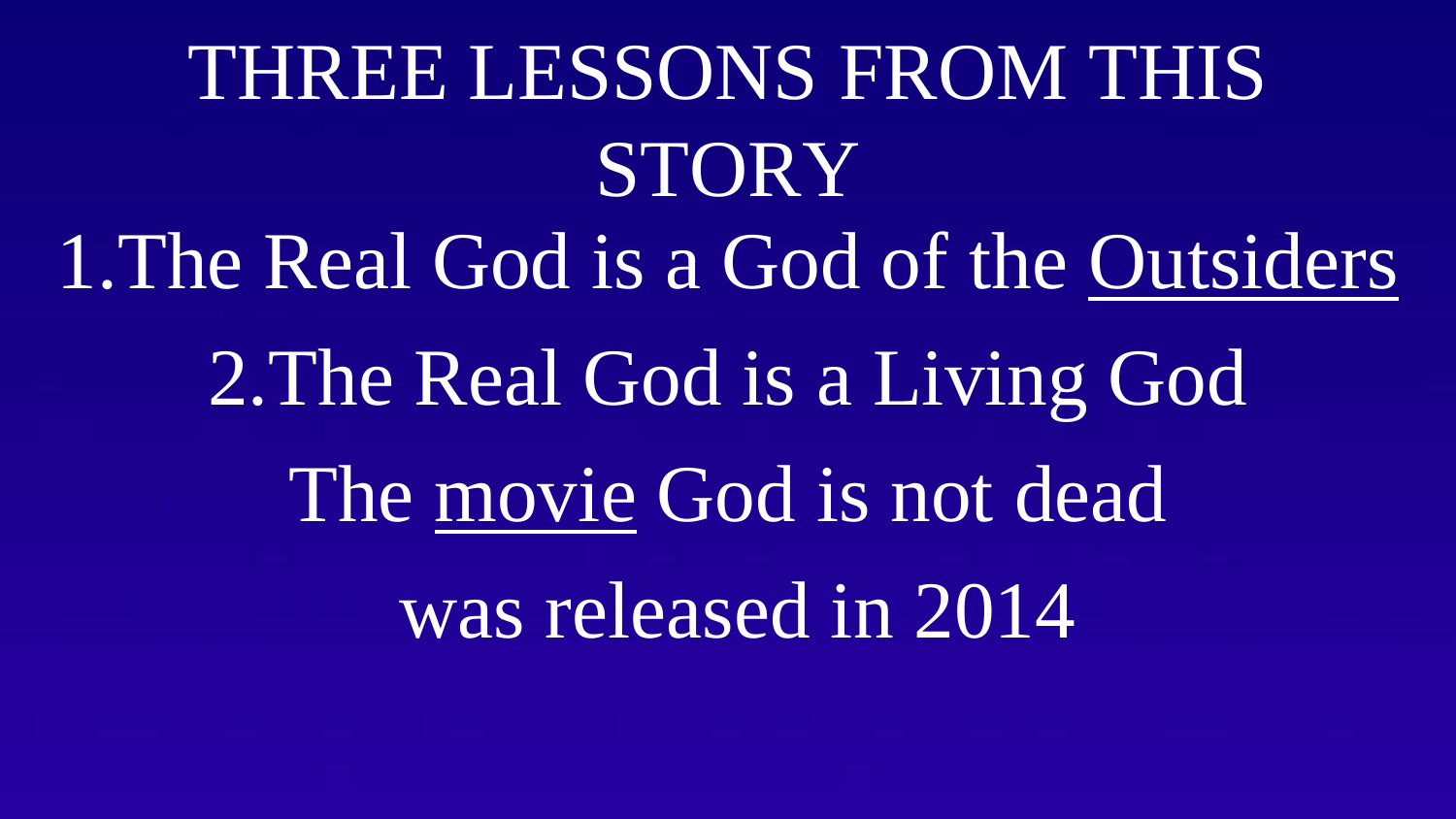# THREE LESSONS FROM THIS STORY 1.The Real God is a God of the Outsiders 2.The Real God is a Living God The movie God is not dead was released in 2014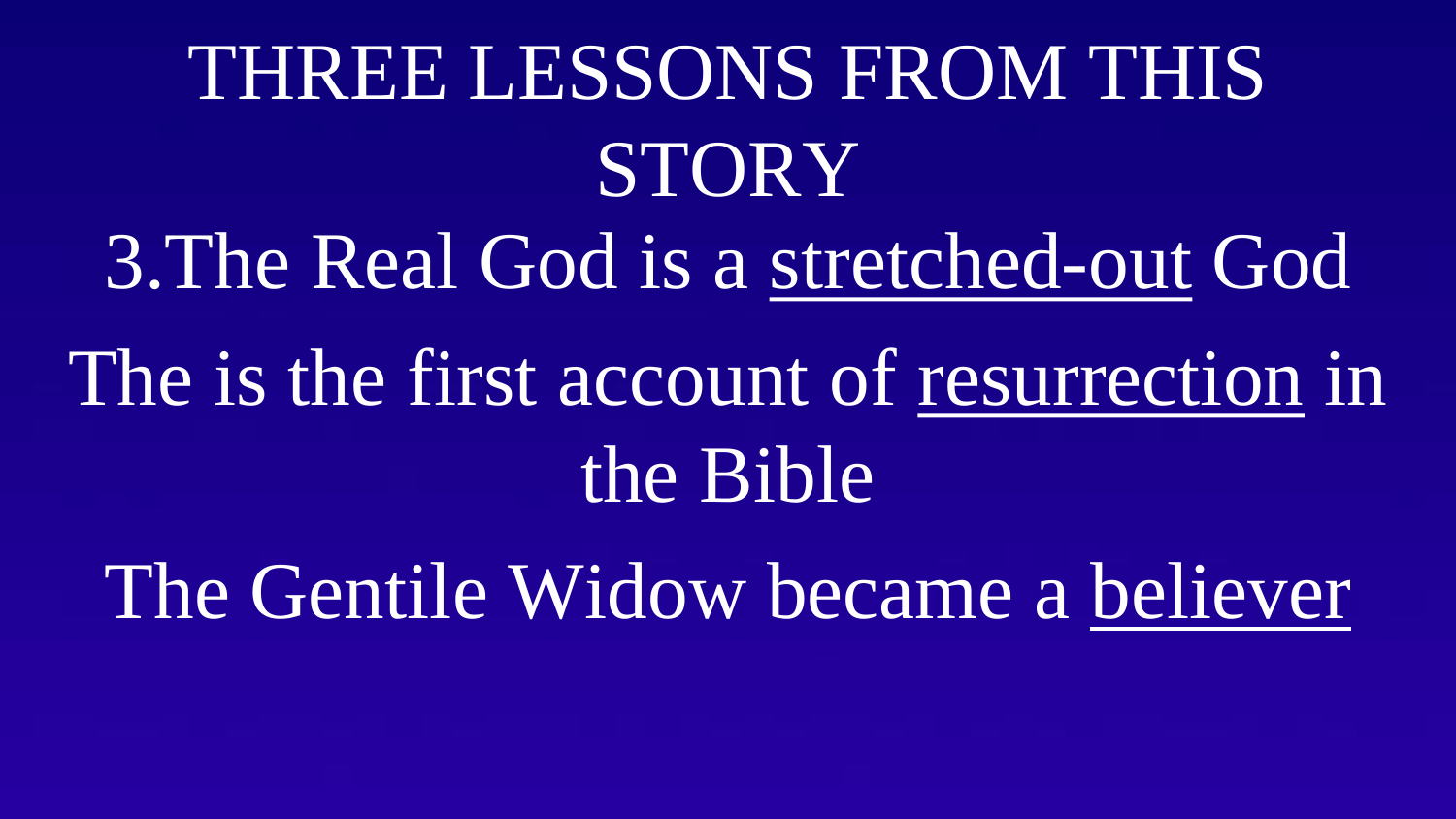## THREE LESSONS FROM THIS STORY 3.The Real God is a stretched-out God The is the first account of resurrection in the Bible

The Gentile Widow became a believer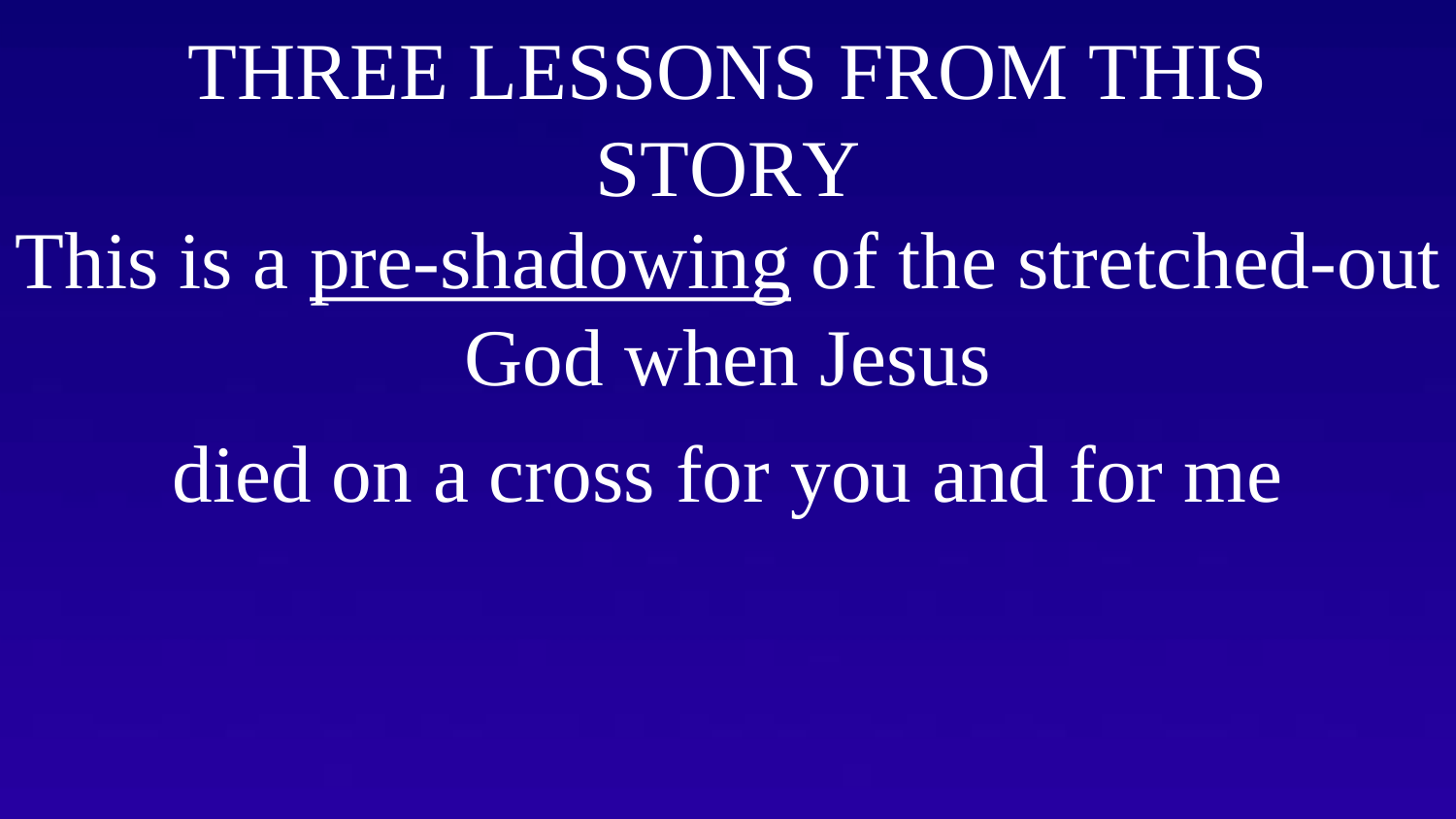### THREE LESSONS FROM THIS STORY This is a pre-shadowing of the stretched-out God when Jesus died on a cross for you and for me